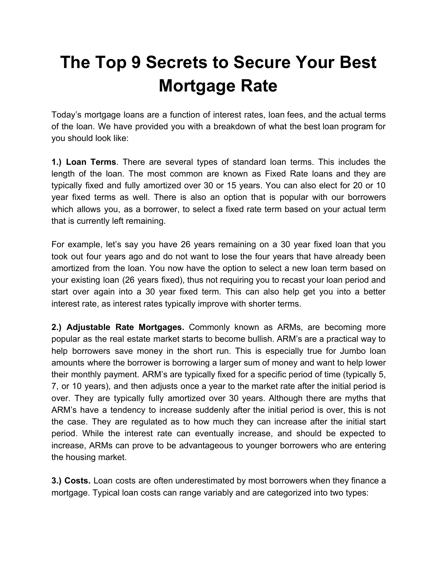## **The Top 9 Secrets to Secure Your Best Mortgage Rate**

Today's mortgage loans are a function of interest rates, loan fees, and the actual terms of the loan. We have provided you with a breakdown of what the best loan program for you should look like:

**1.) Loan Terms**. There are several types of standard loan terms. This includes the length of the loan. The most common are known as Fixed Rate loans and they are typically fixed and fully amortized over 30 or 15 years. You can also elect for 20 or 10 year fixed terms as well. There is also an option that is popular with our borrowers which allows you, as a borrower, to select a fixed rate term based on your actual term that is currently left remaining.

For example, let's say you have 26 years remaining on a 30 year fixed loan that you took out four years ago and do not want to lose the four years that have already been amortized from the loan. You now have the option to select a new loan term based on your existing loan (26 years fixed), thus not requiring you to recast your loan period and start over again into a 30 year fixed term. This can also help get you into a better interest rate, as interest rates typically improve with shorter terms.

**2.) Adjustable Rate Mortgages.** Commonly known as ARMs, are becoming more popular as the real estate market starts to become bullish. ARM's are a practical way to help borrowers save money in the short run. This is especially true for Jumbo loan amounts where the borrower is borrowing a larger sum of money and want to help lower their monthly payment. ARM's are typically fixed for a specific period of time (typically 5, 7, or 10 years), and then adjusts once a year to the market rate after the initial period is over. They are typically fully amortized over 30 years. Although there are myths that ARM's have a tendency to increase suddenly after the initial period is over, this is not the case. They are regulated as to how much they can increase after the initial start period. While the interest rate can eventually increase, and should be expected to increase, ARMs can prove to be advantageous to younger borrowers who are entering the housing market.

**3.) Costs.** Loan costs are often underestimated by most borrowers when they finance a mortgage. Typical loan costs can range variably and are categorized into two types: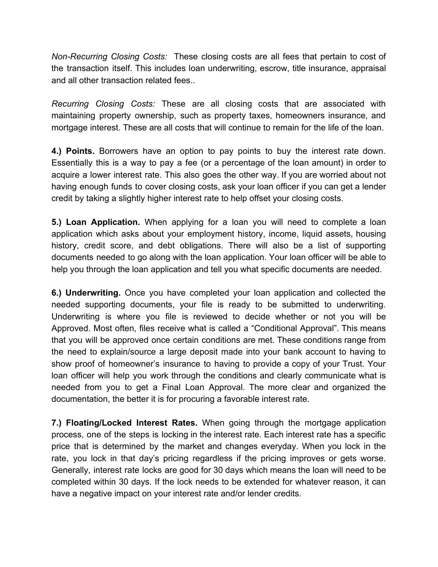*Non-Recurring Closing Costs:* These closing costs are all fees that pertain to cost of the transaction itself. This includes loan underwriting, escrow, title insurance, appraisal and all other transaction related fees..

*Recurring Closing Costs:* These are all closing costs that are associated with maintaining property ownership, such as property taxes, homeowners insurance, and mortgage interest. These are all costs that will continue to remain for the life of the loan.

**4.) Points.** Borrowers have an option to pay points to buy the interest rate down. Essentially this is a way to pay a fee (or a percentage of the loan amount) in order to acquire a lower interest rate. This also goes the other way. If you are worried about not having enough funds to cover closing costs, ask your loan officer if you can get a lender credit by taking a slightly higher interest rate to help offset your closing costs.

**5.) Loan Application.** When applying for a loan you will need to complete a loan application which asks about your employment history, income, liquid assets, housing history, credit score, and debt obligations. There will also be a list of supporting documents needed to go along with the loan application. Your loan officer will be able to help you through the loan application and tell you what specific documents are needed.

**6.) Underwriting.** Once you have completed your loan application and collected the needed supporting documents, your file is ready to be submitted to underwriting. Underwriting is where you file is reviewed to decide whether or not you will be Approved. Most often, files receive what is called a "Conditional Approval". This means that you will be approved once certain conditions are met. These conditions range from the need to explain/source a large deposit made into your bank account to having to show proof of homeowner's insurance to having to provide a copy of your Trust. Your loan officer will help you work through the conditions and clearly communicate what is needed from you to get a Final Loan Approval. The more clear and organized the documentation, the better it is for procuring a favorable interest rate.

**7.) Floating/Locked Interest Rates.** When going through the mortgage application process, one of the steps is locking in the interest rate. Each interest rate has a specific price that is determined by the market and changes everyday. When you lock in the rate, you lock in that day's pricing regardless if the pricing improves or gets worse. Generally, interest rate locks are good for 30 days which means the loan will need to be completed within 30 days. If the lock needs to be extended for whatever reason, it can have a negative impact on your interest rate and/or lender credits.